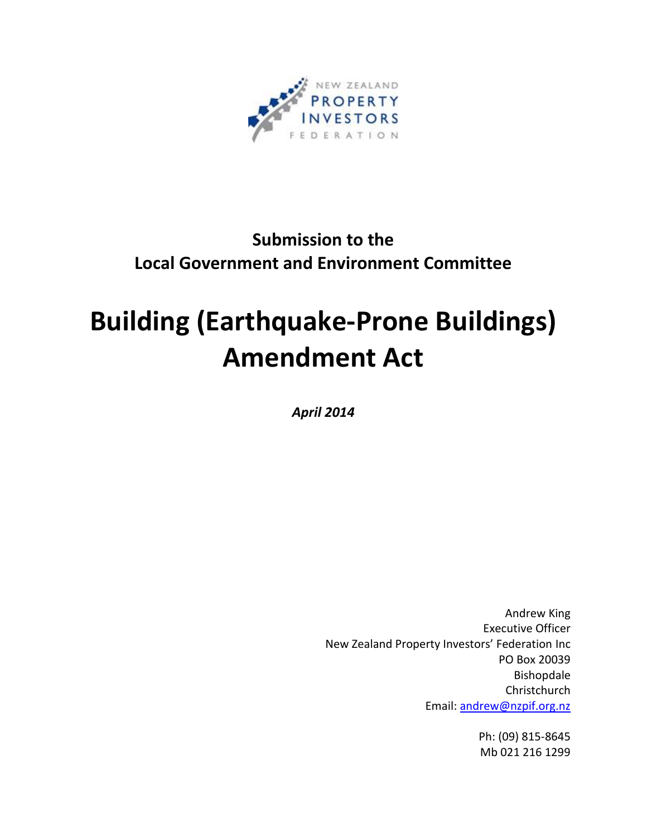

# **Submission to the Local Government and Environment Committee**

# **Building (Earthquake-Prone Buildings) Amendment Act**

*April 2014*

Andrew King Executive Officer New Zealand Property Investors' Federation Inc PO Box 20039 Bishopdale Christchurch Email: [andrew@nzpif.org.nz](mailto:andrew@nzpif.org.nz)

> Ph: (09) 815-8645 Mb 021 216 1299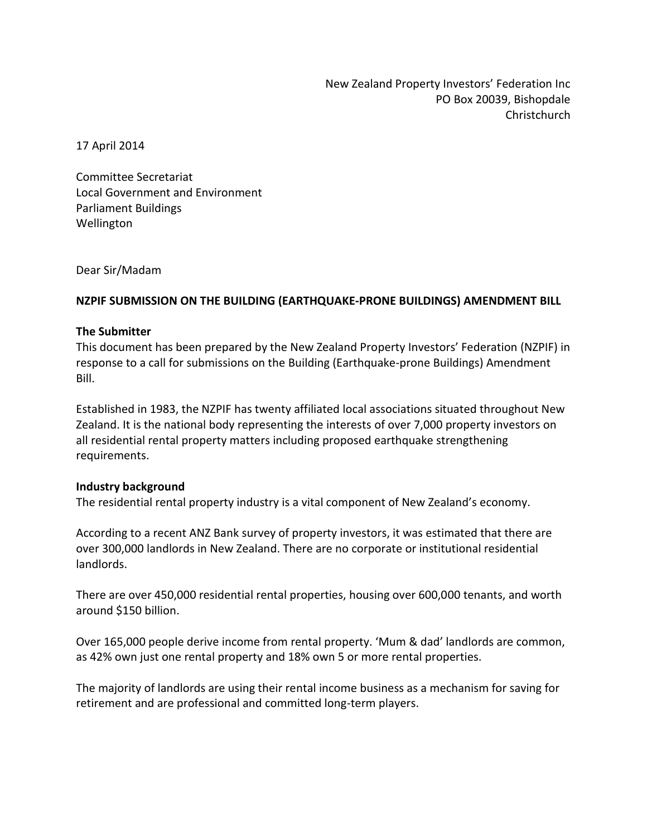New Zealand Property Investors' Federation Inc PO Box 20039, Bishopdale Christchurch

17 April 2014

Committee Secretariat Local Government and Environment Parliament Buildings Wellington

Dear Sir/Madam

# **NZPIF SUBMISSION ON THE BUILDING (EARTHQUAKE-PRONE BUILDINGS) AMENDMENT BILL**

#### **The Submitter**

This document has been prepared by the New Zealand Property Investors' Federation (NZPIF) in response to a call for submissions on the Building (Earthquake-prone Buildings) Amendment Bill.

Established in 1983, the NZPIF has twenty affiliated local associations situated throughout New Zealand. It is the national body representing the interests of over 7,000 property investors on all residential rental property matters including proposed earthquake strengthening requirements.

# **Industry background**

The residential rental property industry is a vital component of New Zealand's economy.

According to a recent ANZ Bank survey of property investors, it was estimated that there are over 300,000 landlords in New Zealand. There are no corporate or institutional residential landlords.

There are over 450,000 residential rental properties, housing over 600,000 tenants, and worth around \$150 billion.

Over 165,000 people derive income from rental property. 'Mum & dad' landlords are common, as 42% own just one rental property and 18% own 5 or more rental properties.

The majority of landlords are using their rental income business as a mechanism for saving for retirement and are professional and committed long-term players.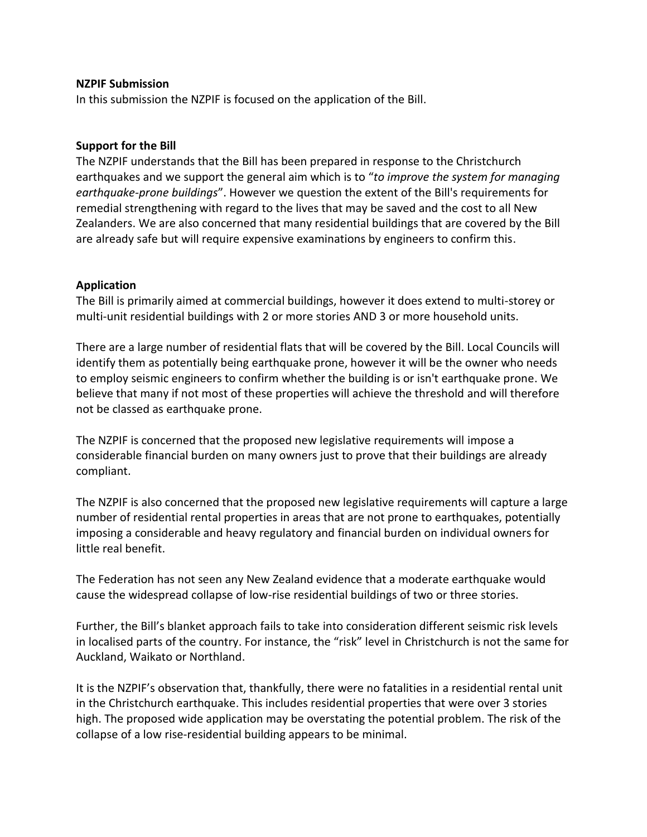#### **NZPIF Submission**

In this submission the NZPIF is focused on the application of the Bill.

# **Support for the Bill**

The NZPIF understands that the Bill has been prepared in response to the Christchurch earthquakes and we support the general aim which is to "*to improve the system for managing earthquake-prone buildings*". However we question the extent of the Bill's requirements for remedial strengthening with regard to the lives that may be saved and the cost to all New Zealanders. We are also concerned that many residential buildings that are covered by the Bill are already safe but will require expensive examinations by engineers to confirm this.

# **Application**

The Bill is primarily aimed at commercial buildings, however it does extend to multi-storey or multi-unit residential buildings with 2 or more stories AND 3 or more household units.

There are a large number of residential flats that will be covered by the Bill. Local Councils will identify them as potentially being earthquake prone, however it will be the owner who needs to employ seismic engineers to confirm whether the building is or isn't earthquake prone. We believe that many if not most of these properties will achieve the threshold and will therefore not be classed as earthquake prone.

The NZPIF is concerned that the proposed new legislative requirements will impose a considerable financial burden on many owners just to prove that their buildings are already compliant.

The NZPIF is also concerned that the proposed new legislative requirements will capture a large number of residential rental properties in areas that are not prone to earthquakes, potentially imposing a considerable and heavy regulatory and financial burden on individual owners for little real benefit.

The Federation has not seen any New Zealand evidence that a moderate earthquake would cause the widespread collapse of low-rise residential buildings of two or three stories.

Further, the Bill's blanket approach fails to take into consideration different seismic risk levels in localised parts of the country. For instance, the "risk" level in Christchurch is not the same for Auckland, Waikato or Northland.

It is the NZPIF's observation that, thankfully, there were no fatalities in a residential rental unit in the Christchurch earthquake. This includes residential properties that were over 3 stories high. The proposed wide application may be overstating the potential problem. The risk of the collapse of a low rise-residential building appears to be minimal.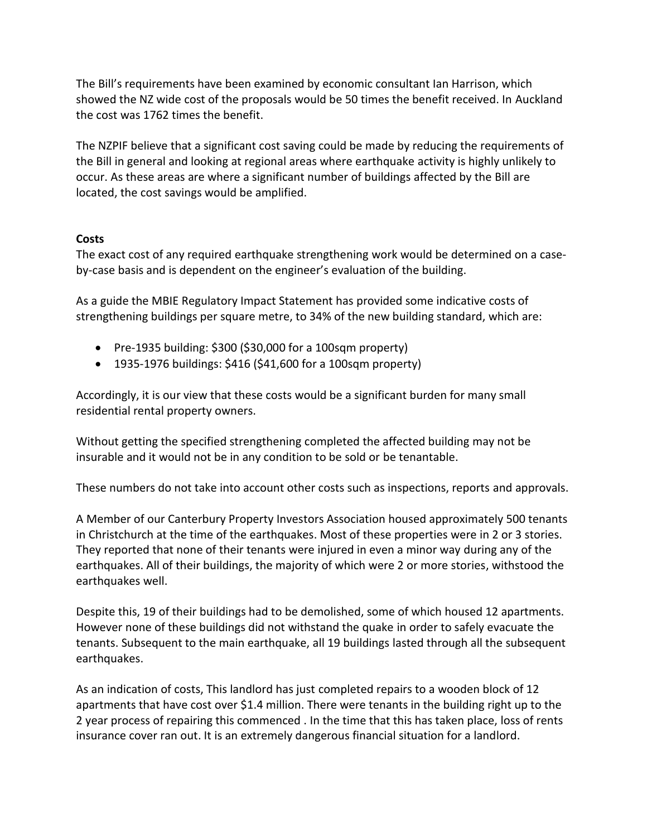The Bill's requirements have been examined by economic consultant Ian Harrison, which showed the NZ wide cost of the proposals would be 50 times the benefit received. In Auckland the cost was 1762 times the benefit.

The NZPIF believe that a significant cost saving could be made by reducing the requirements of the Bill in general and looking at regional areas where earthquake activity is highly unlikely to occur. As these areas are where a significant number of buildings affected by the Bill are located, the cost savings would be amplified.

# **Costs**

The exact cost of any required earthquake strengthening work would be determined on a caseby-case basis and is dependent on the engineer's evaluation of the building.

As a guide the MBIE Regulatory Impact Statement has provided some indicative costs of strengthening buildings per square metre, to 34% of the new building standard, which are:

- $\bullet$  Pre-1935 building: \$300 (\$30,000 for a 100sqm property)
- $\bullet$  1935-1976 buildings: \$416 (\$41,600 for a 100sqm property)

Accordingly, it is our view that these costs would be a significant burden for many small residential rental property owners.

Without getting the specified strengthening completed the affected building may not be insurable and it would not be in any condition to be sold or be tenantable.

These numbers do not take into account other costs such as inspections, reports and approvals.

A Member of our Canterbury Property Investors Association housed approximately 500 tenants in Christchurch at the time of the earthquakes. Most of these properties were in 2 or 3 stories. They reported that none of their tenants were injured in even a minor way during any of the earthquakes. All of their buildings, the majority of which were 2 or more stories, withstood the earthquakes well.

Despite this, 19 of their buildings had to be demolished, some of which housed 12 apartments. However none of these buildings did not withstand the quake in order to safely evacuate the tenants. Subsequent to the main earthquake, all 19 buildings lasted through all the subsequent earthquakes.

As an indication of costs, This landlord has just completed repairs to a wooden block of 12 apartments that have cost over \$1.4 million. There were tenants in the building right up to the 2 year process of repairing this commenced . In the time that this has taken place, loss of rents insurance cover ran out. It is an extremely dangerous financial situation for a landlord.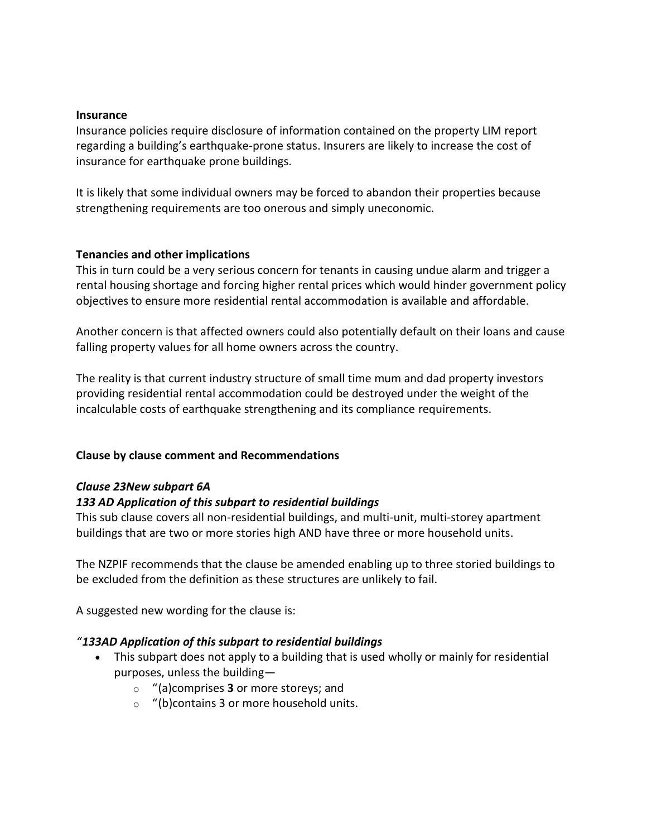#### **Insurance**

Insurance policies require disclosure of information contained on the property LIM report regarding a building's earthquake-prone status. Insurers are likely to increase the cost of insurance for earthquake prone buildings.

It is likely that some individual owners may be forced to abandon their properties because strengthening requirements are too onerous and simply uneconomic.

# **Tenancies and other implications**

This in turn could be a very serious concern for tenants in causing undue alarm and trigger a rental housing shortage and forcing higher rental prices which would hinder government policy objectives to ensure more residential rental accommodation is available and affordable.

Another concern is that affected owners could also potentially default on their loans and cause falling property values for all home owners across the country.

The reality is that current industry structure of small time mum and dad property investors providing residential rental accommodation could be destroyed under the weight of the incalculable costs of earthquake strengthening and its compliance requirements.

# **Clause by clause comment and Recommendations**

# *Clause 23New subpart 6A*

# *133 AD Application of this subpart to residential buildings*

This sub clause covers all non-residential buildings, and multi-unit, multi-storey apartment buildings that are two or more stories high AND have three or more household units.

The NZPIF recommends that the clause be amended enabling up to three storied buildings to be excluded from the definition as these structures are unlikely to fail.

A suggested new wording for the clause is:

# *"133AD Application of this subpart to residential buildings*

- This subpart does not apply to a building that is used wholly or mainly for residential purposes, unless the building
	- o "(a)comprises **3** or more storeys; and
	- o "(b)contains 3 or more household units.